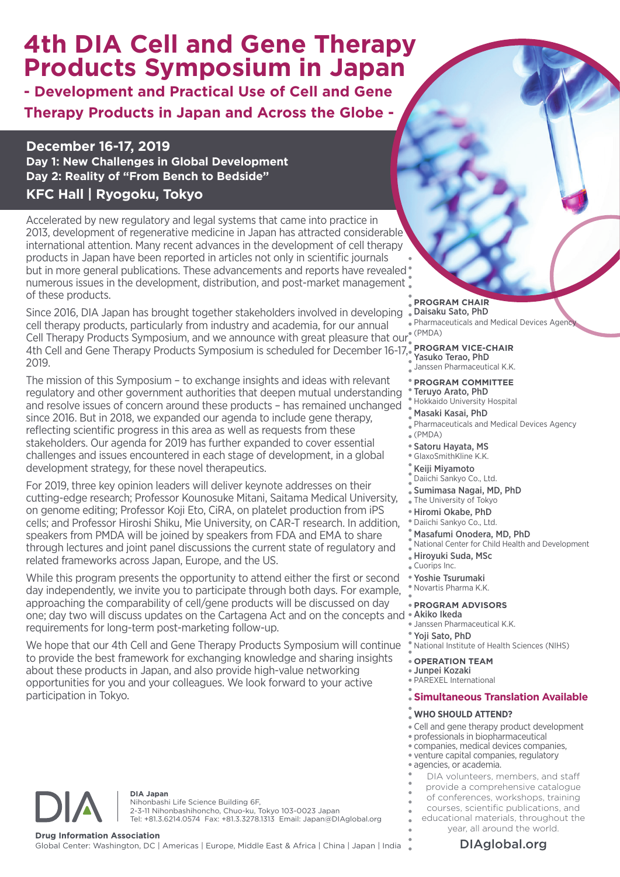# **4th DIA Cell and Gene Therapy Products Symposium in Japan**

**- Development and Practical Use of Cell and Gene Therapy Products in Japan and Across the Globe -**

### **December 16-17, 2019**

**Day 1: New Challenges in Global Development Day 2: Reality of "From Bench to Bedside"**

## **KFC Hall | Ryogoku, Tokyo**

Accelerated by new regulatory and legal systems that came into practice in 2013, development of regenerative medicine in Japan has attracted considerable international attention. Many recent advances in the development of cell therapy products in Japan have been reported in articles not only in scientific journals but in more general publications. These advancements and reports have revealed numerous issues in the development, distribution, and post-market management of these products.

Cell Therapy Products Symposium, and we announce with great pleasure that our<sup>® (PMDA)</sup> 4th Cell and Gene Therapy Products Symposium is scheduled for December 16-17, **PROGRAM VICE-CHAIR** Since 2016, DIA Japan has brought together stakeholders involved in developing cell therapy products, particularly from industry and academia, for our annual 2019.

The mission of this Symposium – to exchange insights and ideas with relevant regulatory and other government authorities that deepen mutual understanding and resolve issues of concern around these products – has remained unchanged since 2016. But in 2018, we expanded our agenda to include gene therapy, reflecting scientific progress in this area as well as requests from these stakeholders. Our agenda for 2019 has further expanded to cover essential challenges and issues encountered in each stage of development, in a global development strategy, for these novel therapeutics.

For 2019, three key opinion leaders will deliver keynote addresses on their cutting-edge research; Professor Kounosuke Mitani, Saitama Medical University, on genome editing; Professor Koji Eto, CiRA, on platelet production from iPS cells; and Professor Hiroshi Shiku, Mie University, on CAR-T research. In addition, speakers from PMDA will be joined by speakers from FDA and EMA to share through lectures and joint panel discussions the current state of regulatory and related frameworks across Japan, Europe, and the US.

one; day two will discuss updates on the Cartagena Act and on the concepts and Akiko Ikeda While this program presents the opportunity to attend either the first or second day independently, we invite you to participate through both days. For example, approaching the comparability of cell/gene products will be discussed on day requirements for long-term post-marketing follow-up.

We hope that our 4th Cell and Gene Therapy Products Symposium will continue to provide the best framework for exchanging knowledge and sharing insights about these products in Japan, and also provide high-value networking opportunities for you and your colleagues. We look forward to your active participation in Tokyo.

**PROGRAM CHAIR** Daisaku Sato, PhD

Pharmaceuticals and Medical Devices Agency

Yasuko Terao, PhD **Yasuko Ierao, III.**<br>Janssen Pharmaceutical K.K.

**PROGRAM COMMITTEE** Teruyo Arato, PhD Hokkaido University Hospital

- Masaki Kasai, PhD Pharmaceuticals and Medical Devices Agency  $\sqrt{\ }$  (PMDA)
- Satoru Hayata, MS
- GlaxoSmithKline K.K.
- Keiji Miyamoto Daiichi Sankyo Co., Ltd.
- Sumimasa Nagai, MD, PhD
- The University of Tokyo
- Hiromi Okabe, PhD
- Daiichi Sankyo Co., Ltd.
- Masafumi Onodera, MD, PhD
- National Center for Child Health and Development
- Hiroyuki Suda, MSc
- Cuorips Inc.
- Yoshie Tsurumaki Novartis Pharma K.K.

### **PROGRAM ADVISORS**

- Janssen Pharmaceutical K.K.
- Yoji Sato, PhD
- National Institute of Health Sciences (NIHS)

### **OPERATION TEAM**

Junpei Kozaki PAREXEL International

### **Simultaneous Translation Available**

### **WHO SHOULD ATTEND?**

- Cell and gene therapy product development
- professionals in biopharmaceutical
- companies, medical devices companies,
- venture capital companies, regulatory agencies, or academia.
- 
- DIA volunteers, members, and staff
- provide a comprehensive catalogue
- of conferences, workshops, training courses, scientific publications, and
	- educational materials, throughout the
		- year, all around the world.

**DIA Japan** Nihonbashi Life Science Building 6F, 2-3-11 Nihonbashihoncho, Chuo-ku, Tokyo 103-0023 Japan Tel: +81.3.6214.0574 Fax: +81.3.3278.1313 Email: Japan@DIAglobal.org

**Drug Information Association**<br>Global Center: Washington, DC | Americas | Europe, Middle East & Africa | China | Japan | India **Namerica | DIAglobal.org**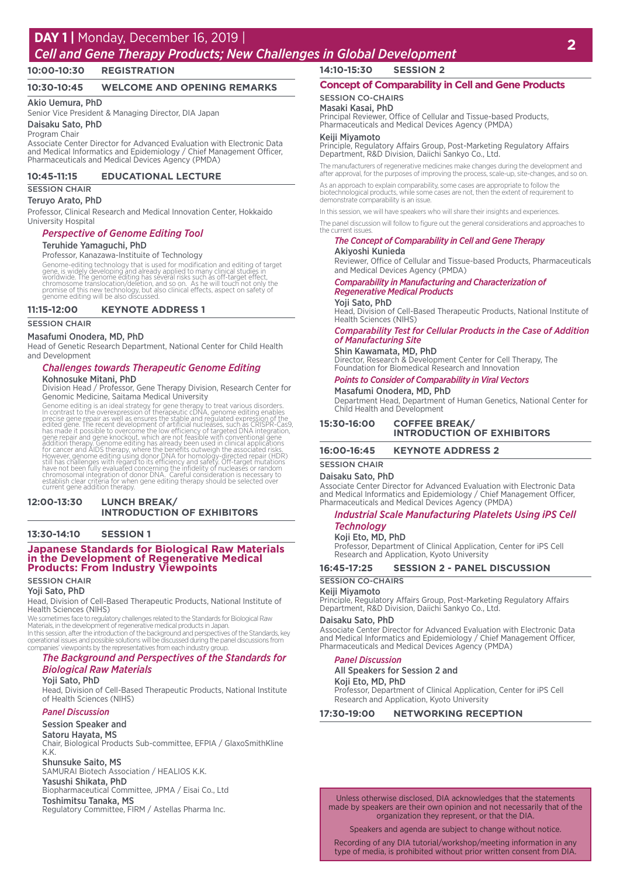### **DAY 1 |** Monday, December 16, 2019 |

# *Cell and Gene Therapy Products; New Challenges in Global Development* **<sup>2</sup>**

**10:00-10:30 REGISTRATION**

#### **10:30-10:45 WELCOME AND OPENING REMARKS**

#### Akio Uemura, PhD

Senior Vice President & Managing Director, DIA Japan

#### Daisaku Sato, PhD

Program Chair

Associate Center Director for Advanced Evaluation with Electronic Data and Medical Informatics and Epidemiology / Chief Management Officer, Pharmaceuticals and Medical Devices Agency (PMDA)

#### **10:45-11:15 EDUCATIONAL LECTURE**

#### **SESSION CHAIR**

#### Teruyo Arato, PhD

Professor, Clinical Research and Medical Innovation Center, Hokkaido University Hospital

#### *Perspective of Genome Editing Tool*

#### Teruhide Yamaguchi, PhD

Professor, Kanazawa-Instituite of Technology

Genome-editing technology that is used for modification and editing of target<br>gene, is widely developing and already applied to many clinical studies in<br>worldwide. The genome editing has several risks such as off-target ef

#### **11:15-12:00 KEYNOTE ADDRESS 1**

SESSION CHAIR

#### Masafumi Onodera, MD, PhD

Head of Genetic Research Department, National Center for Child Health and Development

#### *Challenges towards Therapeutic Genome Editing* Kohnosuke Mitani, PhD

Division Head / Professor, Gene Therapy Division, Research Center for Genomic Medicine, Saitama Medical University

Genome editing is an ideal strategy for gene therapy to treat various disorders.<br>In contrast to the overexpression of therapeutic cDNA, genome editing enables<br>precise gene repair as well as ensures the stable and regulated

#### **12:00-13:30 LUNCH BREAK/ INTRODUCTION OF EXHIBITORS**

#### **13:30-14:10 SESSION 1**

#### **Japanese Standards for Biological Raw Materials in the Development of Regenerative Medical Products: From Industry Viewpoints**

#### SESSION CHAIR

#### Yoji Sato, PhD

Head, Division of Cell-Based Therapeutic Products, National Institute of Health Sciences (NIHS)

We sometimes face to regulatory challenges related to the Standards for Biological Raw Materials, in the development of regenerative medical products in Japan. In this session, after the introduction of the background and perspectives of the Standards, key operational issues and possible solutions will be discussed during the panel discussions from companies' viewpoints by the representatives from each industry group.

#### *The Background and Perspectives of the Standards for Biological Raw Materials*

#### Yoji Sato, PhD

Head, Division of Cell-Based Therapeutic Products, National Institute of Health Sciences (NIHS)

#### *Panel Discussion*

Session Speaker and

#### Satoru Hayata, MS

Chair, Biological Products Sub-committee, EFPIA / GlaxoSmithKline K.K.

**Shunsuke Saito, MS**<br>SAMURAI Biotech Association / HEALIOS K.K. Yasushi Shikata, PhD

Biopharmaceutical Committee, JPMA / Eisai Co., Ltd Toshimitsu Tanaka, MS

Regulatory Committee, FIRM / Astellas Pharma Inc.

### **14:10-15:30 SESSION 2**

### **Concept of Comparability in Cell and Gene Products**

#### SESSION CO-CHAIRS

Masaki Kasai, PhD Principal Reviewer, Office of Cellular and Tissue-based Products, Pharmaceuticals and Medical Devices Agency (PMDA)

#### Keiji Miyamoto

Principle, Regulatory Affairs Group, Post-Marketing Regulatory Affairs Department, R&D Division, Daiichi Sankyo Co., Ltd.

The manufacturers of regenerative medicines make changes during the development and after approval, for the purposes of improving the process, scale-up, site-changes, and so on.

As an approach to explain comparability, some cases are appropriate to follow the biotechnological products, while some cases are not, then the extent of requirement to demonstrate comparability is an issue.

In this session, we will have speakers who will share their insights and experiences.

The panel discussion will follow to figure out the general considerations and approaches to the current issues.

#### *The Concept of Comparability in Cell and Gene Therapy* Akiyoshi Kunieda

Reviewer, Office of Cellular and Tissue-based Products, Pharmaceuticals and Medical Devices Agency (PMDA)

#### *Comparability in Manufacturing and Characterization of Regenerative Medical Products*

#### Yoji Sato, PhD

Head, Division of Cell-Based Therapeutic Products, National Institute of Health Sciences (NIHS)

#### *Comparability Test for Cellular Products in the Case of Addition of Manufacturing Site*

**Shin Kawamata, MD, PhD<br>Director, Research & Development Center for Cell Therapy, The** Foundation for Biomedical Research and Innovation

#### *Points to Consider of Comparability in Viral Vectors*

Masafumi Onodera, MD, PhD Department Head, Department of Human Genetics, National Center for Child Health and Development

#### **15:30-16:00 COFFEE BREAK/ INTRODUCTION OF EXHIBITORS**

#### **16:00-16:45 KEYNOTE ADDRESS 2**

#### SESSION CHAIR

#### Daisaku Sato, PhD

Associate Center Director for Advanced Evaluation with Electronic Data and Medical Informatics and Epidemiology / Chief Management Officer, Pharmaceuticals and Medical Devices Agency (PMDA)

#### *Industrial Scale Manufacturing Platelets Using iPS Cell Technology*

#### Koji Eto, MD, PhD

Professor, Department of Clinical Application, Center for iPS Cell Research and Application, Kyoto University

#### **16:45-17:25 SESSION 2 - PANEL DISCUSSION**

### SESSION CO-CHAIRS

#### Keiji Miyamoto

Principle, Regulatory Affairs Group, Post-Marketing Regulatory Affairs Department, R&D Division, Daiichi Sankyo Co., Ltd.

#### Daisaku Sato, PhD

Associate Center Director for Advanced Evaluation with Electronic Data and Medical Informatics and Epidemiology / Chief Management Officer, Pharmaceuticals and Medical Devices Agency (PMDA)

#### *Panel Discussion*

#### All Speakers for Session 2 and

Koji Eto, MD, PhD

Professor, Department of Clinical Application, Center for iPS Cell Research and Application, Kyoto University

**17:30-19:00 NETWORKING RECEPTION**

Unless otherwise disclosed, DIA acknowledges that the statements made by speakers are their own opinion and not necessarily that of the organization they represent, or that the DIA.

Speakers and agenda are subject to change without notice.

Recording of any DIA tutorial/workshop/meeting information in any type of media, is prohibited without prior written consent from DIA.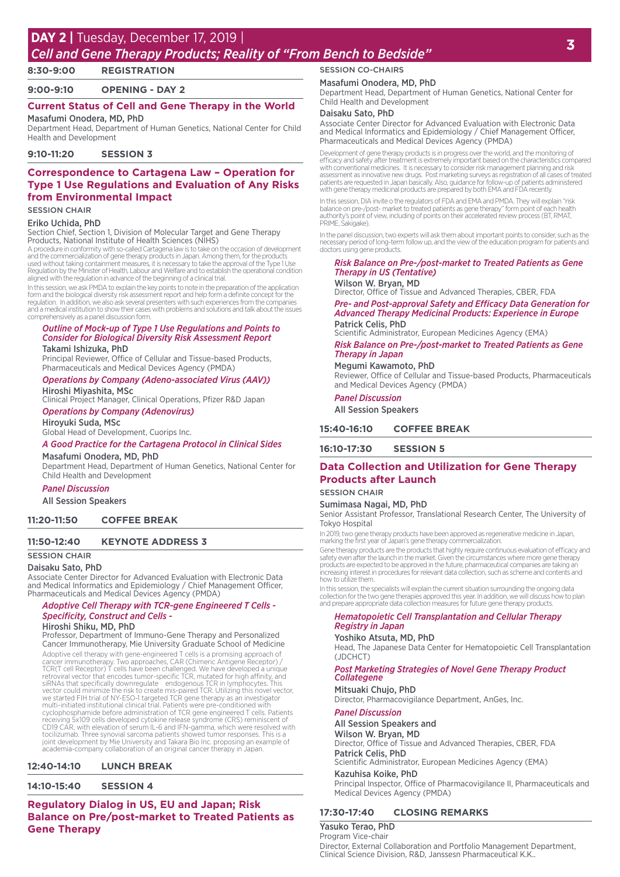### **<sup>3</sup> DAY 2 |** Tuesday, December 17, 2019 | *Cell and Gene Therapy Products; Reality of "From Bench to Bedside"*

## **8:30-9:00 REGISTRATION**

**9:00-9:10 OPENING - DAY 2**

### **Current Status of Cell and Gene Therapy in the World** Masafumi Onodera, MD, PhD

Department Head, Department of Human Genetics, National Center for Child Health and Development

**9:10-11:20 SESSION 3**

### **Correspondence to Cartagena Law – Operation for Type 1 Use Regulations and Evaluation of Any Risks from Environmental Impact**

#### SESSION CHAIR

#### Eriko Uchida, PhD

Section Chief, Section 1, Division of Molecular Target and Gene Therapy Products, National Institute of Health Sciences (NIHS)

A procedure in conformity with so-called Cartagena law is to take on the occasion of development and the commercialization of gene therapy products in Japan. Among them, for the products<br>used without taking containment measures, it is necessary to take the approval of the Type 1 Use<br>Regulation by the Minister of Healt aligned with the regulation in advance of the beginning of a clinical trial.

In this session, we ask PMDA to explain the key points to note in the preparation of the application<br>form and the biological diversity risk assessment report and help form a definite concept for the<br>regulation. In addition and a medical institution to show their cases with problems and solutions and talk about the issues comprehensively as a panel discussion form.

#### *Outline of Mock-up of Type 1 Use Regulations and Points to Consider for Biological Diversity Risk Assessment Report* Takami Ishizuka, PhD

Principal Reviewer, Office of Cellular and Tissue-based Products, Pharmaceuticals and Medical Devices Agency (PMDA)

#### *Operations by Company (Adeno-associated Virus (AAV))* Hiroshi Miyashita, MSc

Clinical Project Manager, Clinical Operations, Pfizer R&D Japan *Operations by Company (Adenovirus)*

### Hiroyuki Suda, MSc

Global Head of Development, Cuorips Inc.

#### *A Good Practice for the Cartagena Protocol in Clinical Sides*

Masafumi Onodera, MD, PhD Department Head, Department of Human Genetics, National Center for Child Health and Development

#### *Panel Discussion*

All Session Speakers

#### **11:20-11:50 COFFEE BREAK**

#### **11:50-12:40 KEYNOTE ADDRESS 3**

#### SESSION CHAIR

#### Daisaku Sato, PhD

Associate Center Director for Advanced Evaluation with Electronic Data and Medical Informatics and Epidemiology / Chief Management Officer, Pharmaceuticals and Medical Devices Agency (PMDA)

#### *Adoptive Cell Therapy with TCR-gene Engineered T Cells - Specificity, Construct and Cells -*

#### Hiroshi Shiku, MD, PhD

Professor, Department of Immuno-Gene Therapy and Personalized Cancer Immunotherapy, Mie University Graduate School of Medicine

Adoptive cell therapy with gene-engineered T cells is a promising approach of<br>cancer immunotherapy. Two approaches, CAR (Chimeric Antigene Receptor) /<br>TCR(T cell Receptor) T cells have been challenged. We have developed a CD19 CAR, with elevation of serum IL-6 and IFN-gamma, which were resolved with tocilizumab. Three synovial sarcoma patients showed tumor responses. This is a joint development by Mie University and Takara Bio Inc. proposing an example of academia-company collaboration of an original cancer therapy in Japan.

#### **12:40-14:10 LUNCH BREAK**

**14:10-15:40 SESSION 4**

**Regulatory Dialog in US, EU and Japan; Risk Balance on Pre/post-market to Treated Patients as Gene Therapy**

#### SESSION CO-CHAIRS

#### Masafumi Onodera, MD, PhD

Department Head, Department of Human Genetics, National Center for Child Health and Development

#### Daisaku Sato, PhD

Associate Center Director for Advanced Evaluation with Electronic Data and Medical Informatics and Epidemiology / Chief Management Officer, Pharmaceuticals and Medical Devices Agency (PMDA)

Development of gene therapy products is in progress over the world, and the monitoring of efficacy and safety after treatment is extremely important based on the characteristics compared<br>with conventional medicines. It is necessary to consider risk management planning and risk<br>assessment as innovative new drugs

In this session, DIA invite o the regulators of FDA and EMA and PMDA. They will explain "risk balance on pre-/post- market to treated patients as gene therapy" form point of each health authority's point of view, including of points on their accelerated review process (BT, RMAT, PRIME, Sakigake).

In the panel discussion, two experts will ask them about important points to consider, such as the necessary period of long-term follow up, and the view of the education program for patients and doctors using gene products.

#### *Risk Balance on Pre-/post-market to Treated Patients as Gene Therapy in US (Tentative)* Wilson W. Bryan, MD

Director, Office of Tissue and Advanced Therapies, CBER, FDA

*Pre- and Post-approval Safety and Efficacy Data Generation for Advanced Therapy Medicinal Products: Experience in Europe* Patrick Celis, PhD

Scientific Administrator, European Medicines Agency (EMA)

#### *Risk Balance on Pre-/post-market to Treated Patients as Gene Therapy in Japan*

## Megumi Kawamoto, PhD

Reviewer, Office of Cellular and Tissue-based Products, Pharmaceuticals and Medical Devices Agency (PMDA)

### *Panel Discussion*

All Session Speakers

#### **15:40-16:10 COFFEE BREAK**

**16:10-17:30 SESSION 5**

#### **Data Collection and Utilization for Gene Therapy Products after Launch**

#### SESSION CHAIR

Sumimasa Nagai, MD, PhD

Senior Assistant Professor, Translational Research Center, The University of Tokyo Hospital

In 2019, two gene therapy products have been approved as regenerative medicine in Japan, marking the first year of Japan's gene therapy commercialization.

Gene therapy products are the products that highly require continuous evaluation of efficacy and safety even after the launch in the market. Given the circumstances where more gene therapy products are expected to be approved in the future, pharmaceutical companies are taking an increasing interest in procedures for relevant data collection, such as scheme and contents and how to utilize them.

In this session, the specialists will explain the current situation surrounding the ongoing data collection for the two gene therapies approved this year. In addition, we will discuss how to plan and prepare appropriate data collection measures for future gene therapy products.

#### *Hematopoietic Cell Transplantation and Cellular Therapy Registry in Japan*

#### Yoshiko Atsuta, MD, PhD

Head, The Japanese Data Center for Hematopoietic Cell Transplantation (JDCHCT)

#### *Post Marketing Strategies of Novel Gene Therapy Product Collategene*

#### Mitsuaki Chujo, PhD

Director, Pharmacovigilance Department, AnGes, Inc.

#### *Panel Discussion*

All Session Speakers and

Wilson W. Bryan, MD Director, Office of Tissue and Advanced Therapies, CBER, FDA Patrick Celis, PhD

Scientific Administrator, European Medicines Agency (EMA) Kazuhisa Koike, PhD

Principal Inspector, Office of Pharmacovigilance II, Pharmaceuticals and Medical Devices Agency (PMDA)

#### **17:30-17:40 CLOSING REMARKS**

Yasuko Terao, PhD Program Vice-chair Director, External Collaboration and Portfolio Management Department, Clinical Science Division, R&D, Janssesn Pharmaceutical K.K..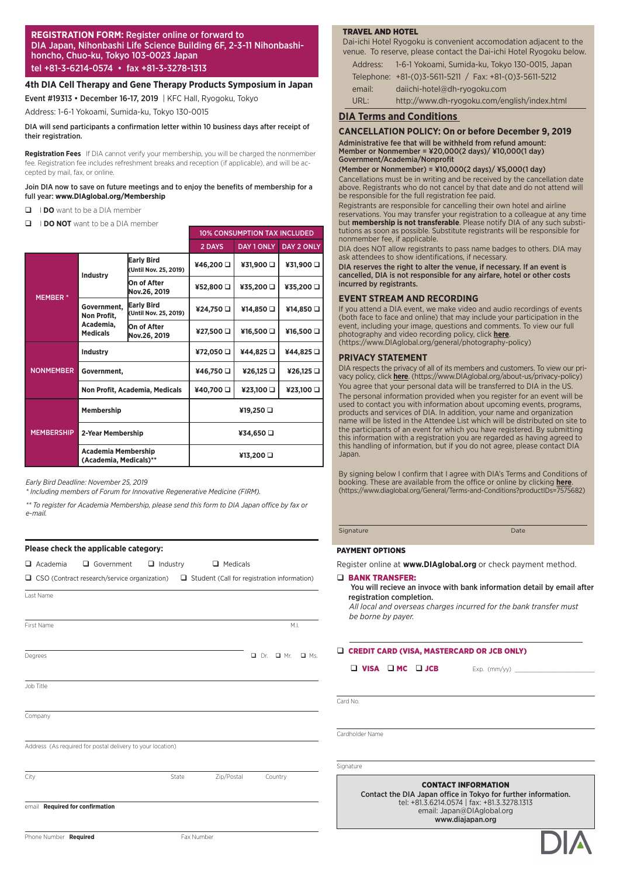#### **REGISTRATION FORM:** Register online or forward to DIA Japan, Nihonbashi Life Science Building 6F, 2-3-11 Nihonbashihoncho, Chuo-ku, Tokyo 103-0023 Japan tel +81-3-6214-0574 • fax +81-3-3278-1313

#### **4th DIA Cell Therapy and Gene Therapy Products Symposium in Japan**

Event #19313 • December 16-17, 2019 | KFC Hall, Ryogoku, Tokyo

Address: 1-6-1 Yokoami, Sumida-ku, Tokyo 130-0015

#### DIA will send participants a confirmation letter within 10 business days after receipt of their registration.

**Registration Fees**  If DIA cannot verify your membership, you will be charged the nonmember fee. Registration fee includes refreshment breaks and reception (if applicable), and will be accepted by mail, fax, or online.

#### Join DIA now to save on future meetings and to enjoy the benefits of membership for a full year: **www.DIAglobal.org/Membership**

- **I DO** want to be a DIA member
- **Q I DO NOT** want to be a DIA member

|                   |                                                      |                                            | <b>10% CONSUMPTION TAX INCLUDED</b> |            |                   |  |
|-------------------|------------------------------------------------------|--------------------------------------------|-------------------------------------|------------|-------------------|--|
|                   |                                                      |                                            | 2 DAYS                              | DAY 1 ONLY | <b>DAY 2 ONLY</b> |  |
|                   | <b>Industry</b>                                      | <b>Early Bird</b><br>(Until Nov. 25, 2019) | ¥46,200                             | ¥31,900 O  | ¥31,900 O         |  |
| <b>MEMBER*</b>    |                                                      | On of After<br>Nov.26, 2019                | ¥52,800 □                           | ¥35,200 □  | ¥35,200 □         |  |
|                   | Government,<br>Non Profit,                           | <b>Early Bird</b><br>(Until Nov. 25, 2019) | ¥24,750                             | ¥14,850    | ¥14,850           |  |
|                   | Academia,<br><b>Medicals</b>                         | On of After<br>Nov.26, 2019                | ¥27,500 Q                           | ¥16,500 O  | ¥16,500 O         |  |
| <b>NONMEMBER</b>  | <b>Industry</b>                                      |                                            | ¥72,050                             | ¥44,825    | ¥44,825           |  |
|                   | Government,                                          |                                            | ¥46,750 □                           | ¥26,125 Q  | ¥26,125           |  |
|                   |                                                      | Non Profit, Academia, Medicals             | ¥40,700 Q                           | ¥23,100 O  | ¥23,100           |  |
| <b>MEMBERSHIP</b> | Membership                                           |                                            | ¥19,250 □                           |            |                   |  |
|                   | 2-Year Membership                                    |                                            | ¥34,650 Q                           |            |                   |  |
|                   | <b>Academia Membership</b><br>(Academia, Medicals)** |                                            | ¥13,200 Q                           |            |                   |  |

*Early Bird Deadline: November 25, 2019*

*\* Including members of Forum for Innovative Regenerative Medicine (FIRM).*

*\*\* To register for Academia Membership, please send this form to DIA Japan office by fax or e-mail.*

|                                 | Please check the applicable category:                                                                  |                 |                 |                 |            |
|---------------------------------|--------------------------------------------------------------------------------------------------------|-----------------|-----------------|-----------------|------------|
| $\Box$ Academia                 | Government                                                                                             | $\Box$ Industry | $\Box$ Medicals |                 |            |
|                                 | $\Box$ CSO (Contract research/service organization) $\Box$ Student (Call for registration information) |                 |                 |                 |            |
| Last Name                       |                                                                                                        |                 |                 |                 |            |
| First Name                      |                                                                                                        |                 |                 | M.L             |            |
| Degrees                         |                                                                                                        |                 |                 | $D$ Dr. $D$ Mr. | $\Box$ Ms. |
| Job Title                       |                                                                                                        |                 |                 |                 |            |
| Company                         |                                                                                                        |                 |                 |                 |            |
|                                 | Address (As required for postal delivery to your location)                                             |                 |                 |                 |            |
| City                            |                                                                                                        | State           | Zip/Postal      | Country         |            |
| email Required for confirmation |                                                                                                        |                 |                 |                 |            |
| Phone Number Required           |                                                                                                        |                 | Fax Number      |                 |            |

#### TRAVEL AND HOTEL

Dai-ichi Hotel Ryogoku is convenient accomodation adjacent to the venue. To reserve, please contact the Dai-ichi Hotel Ryogoku below. Address: 1-6-1 Yokoami, Sumida-ku, Tokyo 130-0015, Japan

- Telephone: +81-(0)3-5611-5211 / Fax: +81-(0)3-5611-5212 email: daiichi-hotel@dh-ryogoku.com
- URL: http://www.dh-ryogoku.com/english/index.html

#### **DIA Terms and Conditions**

#### **CANCELLATION POLICY: On or before December 9, 2019**

Administrative fee that will be withheld from refund amount: Member or Nonmember = ¥20,000(2 days)/ ¥10,000(1 day) Government/Academia/Nonprofit

(Member or Nonmember) = ¥10,000(2 days)/ ¥5,000(1 day)

Cancellations must be in writing and be received by the cancellation date above. Registrants who do not cancel by that date and do not attend will be responsible for the full registration fee paid.

Registrants are responsible for cancelling their own hotel and airline reservations. You may transfer your registration to a colleague at any time but **membership is not transferable**. Please notify DIA of any such substitutions as soon as possible. Substitute registrants will be responsible for nonmember fee, if applicable.

DIA does NOT allow registrants to pass name badges to others. DIA may ask attendees to show identifications, if necessary.

DIA reserves the right to alter the venue, if necessary. If an event is cancelled, DIA is not responsible for any airfare, hotel or other costs incurred by registrants.

#### **EVENT STREAM AND RECORDING**

If you attend a DIA event, we make video and audio recordings of events (both face to face and online) that may include your participation in the event, including your image, questions and comments. To view our full photography and video recording policy, click **here**. (https://www.DIAglobal.org/general/photography-policy)

#### **PRIVACY STATEMENT**

DIA respects the privacy of all of its members and customers. To view our privacy policy, click **here**. (https://www.DIAglobal.org/about-us/privacy-policy) You agree that your personal data will be transferred to DIA in the US. The personal information provided when you register for an event will be used to contact you with information about upcoming events, programs, products and services of DIA. In addition, your name and organization name will be listed in the Attendee List which will be distributed on site to the participants of an event for which you have registered. By submitting this information with a registration you are regarded as having agreed to this handling of information, but if you do not agree, please contact DIA **Japan** 

By signing below I confirm that I agree with DIA's Terms and Conditions of booking. These are available from the office or online by clicking **here**. (https://www.diaglobal.org/General/Terms-and-Conditions?productIDs=7575682)

Signature Date Communication of the Date Date Date

#### PAYMENT OPTIONS

Register online at **www.DIAglobal.org** or check payment method.

#### q BANK TRANSFER:

#### You will recieve an invoce with bank information detail by email after registration completion.

*All local and overseas charges incurred for the bank transfer must be borne by payer.*

Q CREDIT CARD (VISA, MASTERCARD OR JCB ONLY)

 $\Box$  VISA  $\Box$  MC  $\Box$  JCB Exp. (mm/yy)  $\Box$ 

Card No.

Cardholder Name

Signature

CONTACT INFORMATION

Contact the DIA Japan office in Tokyo for further information. tel: +81.3.6214.0574 | fax: +81.3.3278.1313 email: Japan@DIAglobal.org www.diajapan.org

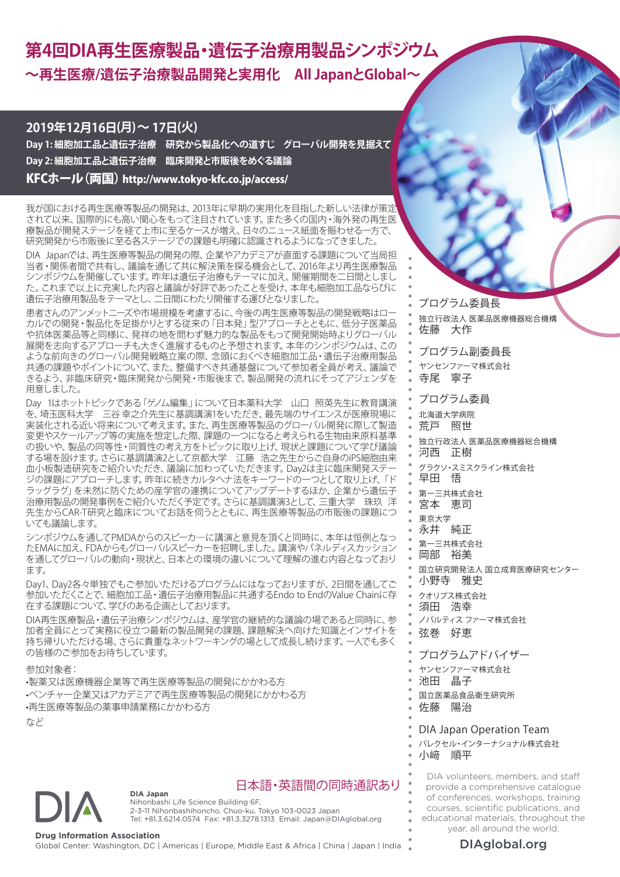# **第4回DIA再生医療製品・遺伝子治療用製品シンポジウム ~再生医療/遺伝子治療製品開発と実用化 All JapanとGlobal~**

### **2019年12月16日(月)~ 17日(火)**

**Day 1: 細胞加工品と遺伝子治療 研究から製品化への道すじ グローバル開発を見据えて Day 2: 細胞加工品と遺伝子治療 臨床開発と市販後をめぐる議論** KFCホール(両国) http://www.tokyo-kfc.co.jp/access/

我が国における再生医療等製品の開発は、2013年に早期の実用化を目指した新しい法律が策定 されて以来、国際的にも高い関心をもって注目されています。また多くの国内・海外発の再生医 療製品が開発ステージを経て上市に至るケースが増え、日々のニュース紙面を賑わせる一方で、 研究開発から市販後に至る各ステージでの課題も明確に認識されるようになってきました。

DIA Japanでは、再生医療等製品の開発の際、企業やアカデミアが直面する課題について当局担 当者・関係者間で共有し、議論を通じて共に解決策を探る機会として、2016年より再生医療製品 シンポジウムを開催しています。昨年は遺伝子治療もテーマに加え、開催期間を二日間としまし た。これまで以上に充実した内容と議論が好評であったことを受け、本年も細胞加工品ならびに 遺伝子治療用製品をテーマとし、二日間にわたり開催する運びとなりました。

患者さんのアンメットニーズや市場規模を考慮するに、今後の再生医療等製品の開発戦略はロー カルでの開発・製品化を足掛かりとする従来の「日本発」型アプローチとともに、低分子医薬品 や抗体医薬品等と同様に、発祥の地を問わず魅力的な製品をもって開発開始時よりグローバル 展開を志向するアプローチも大きく進展するものと予想されます。本年のシンポジウムは、この ような前向きのグローバル開発戦略立案の際、念頭におくべき細胞加工品・遺伝子治療用製品 共通の課題やポイントについて、また、整備すべき共通基盤について参加者全員が考え、議論で きるよう、非臨床研究・臨床開発から開発・市販後まで、製品開発の流れにそってアジェンダを 用意しました。

Day 1はホットトピックである「ゲノム編集」について日本薬科大学 山口 照英先生に教育講演 を、埼玉医科大学 三谷 幸之介先生に基調講演1をいただき、最先端のサイエンスが医療現場に 実装化される近い将来について考えます。また、再生医療等製品のグローバル開発に際して製造 変更やスケールアップ等の実施を想定した際、課題の一つになると考えられる生物由来原料基準 の扱いや、製品の同等性・同質性の考え方をトピックに取り上げ、現状と課題について学び議論 する場を設けます。さらに基調講演2として京都大学 江藤 浩之先生からご自身のiPS細胞由来 血小板製造研究をご紹介いただき、議論に加わっていただきます。Day2は主に臨床開発ステー ジの課題にアプローチします。昨年に続きカルタヘナ法をキーワードの一つとして取り上げ、「ド ラッグラグ」を未然に防ぐための産学官の連携についてアップデートするほか、企業から遺伝子 治療用製品の開発事例をご紹介いただく予定です。さらに基調講演3として、三重大学 珠玖 洋 先生からCAR-T研究と臨床についてお話を伺うとともに、再生医療等製品の市販後の課題につ いても議論します。

シンポジウムを通してPMDAからのスピーカ―に講演と意見を頂くと同時に、本年は恒例となっ たEMAに加え、FDAからもグローバルスピーカーを招聘しました。講演やパネルディスカッション を通してグローバルの動向・現状と、日本との環境の違いについて理解の進む内容となっており ます。

Dav1、Dav2各々単独でもご参加いただけるプログラムにはなっておりますが、2日間を通してご 参加いただくことで、細胞加工品・遺伝子治療用製品に共通するEndo to EndのValue Chainに存 在する課題について、学びのある企画としております。

DIA再生医療製品・遺伝子治療シンポジウムは、産学官の継続的な議論の場であると同時に、参 加者全員にとって実務に役立つ最新の製品開発の課題、課題解決へ向けた知識とインサイトを 持ち帰りいただける場、さらに貴重なネットワーキングの場として成長し続けます。一人でも多く の皆様のご参加をお待ちしています。

参加対象者:

•製薬又は医療機器企業等で再生医療等製品の開発にかかわる方 •ベンチャー企業又はアカデミアで再生医療等製品の開発にかかわる方 •再生医療等製品の薬事申請業務にかかわる方

**DIA Japan**

など



### 日本語・英語間の同時通訳あり

Nihonbashi Life Science Building 6F, 2-3-11 Nihonbashihoncho, Chuo-ku, Tokyo 103-0023 Japan Tel: +81.3.6214.0574 Fax: +81.3.3278.1313 Email: Japan@DIAglobal.org

**Drug Information Association**<br>Global Center: Washington, DC | Americas | Europe, Middle East & Africa | China | Japan | India **Namerica | DIAglobal.org** 

佐藤 大作 プログラム副委員長 ヤンセンファーマ株式会社 寺尾 寧子 プログラム委員 北海道大学病院 荒戸 照世 独立行政法人 医薬品医療機器総合機構 河西 正樹 グラクソ・スミスクライン株式会社 早田 悟 第一三共株式会社 宮本 恵司 東京大学 永井 純正 第一三共株式会社 岡部 裕美 国立研究開発法人 国立成育医療研究センター 小野寺 雅史 クオリプス株式会社 須田 浩幸 ノバルティス ファーマ株式会社 弦巻 好恵 プログラムアドバイザー ヤンセンファーマ株式会社 池田 晶子

プログラム委員長

独立行政法人 医薬品医療機器総合機構

国立医薬品食品衛生研究所

佐藤 陽治

### DIA Japan Operation Team

パレクセル・インターナショナル株式会社 小﨑 順平

DIA volunteers, members, and staff provide a comprehensive catalogue of conferences, workshops, training courses, scientific publications, and educational materials, throughout the year, all around the world.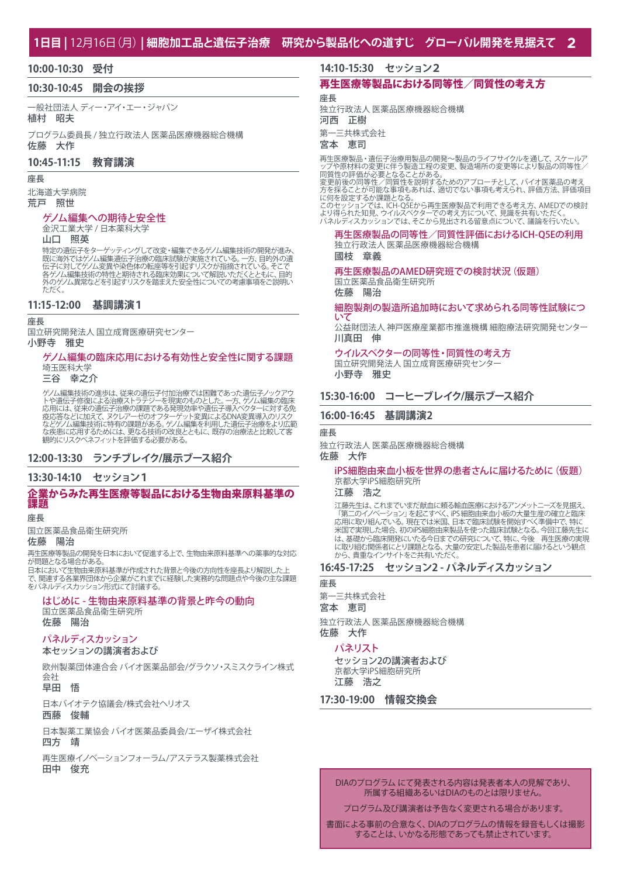#### **1日目 |** 12月16日(月) **| 細胞加工品と遺伝子治療 研究から製品化への道すじ グローバル開発を見据えて 2**

#### **10:00-10:30 受付**

#### **10:30-10:45 開会の挨拶**

一般社団法人 ディー・アイ・エー・ジャパン 植村 昭夫

プログラム委員長 / 独立行政法人 医薬品医療機器総合機構 佐藤 大作

#### **10:45-11:15 教育講演**

#### 座長

北海道大学病院 荒戸 照世

#### ゲノム編集への期待と安全性

金沢工業大学 / 日本薬科大学

#### 山口 照英

特定の遺伝子をターゲッティングして改変・編集できるゲノム編集技術の開発が進み、<br>既に海外ではゲノム編集遺伝子治療の臨床試験が実施されている。一方、目的外の過ぎ<br>伝子に対してゲノム変異や染色体の転座等を引起すリスクが指摘されている。そこに目的<br>各ゲノム異常などを引起すリスクを踏まえた安全性についての考慮事項をご説明い ただく。

#### **11:15-12:00 基調講演1**

#### 座長

国立研究開発法人 国立成育医療研究センター

#### 小野寺 雅史

#### ゲノム編集の臨床応用における有効性と安全性に関する課題 埼玉医科大学

三谷 幸之介

ゲノム編集技術の進歩は、従来の遺伝子付加治療では困難であった遺伝子ノックアウ<br>トや遺伝子修復による治療ストラテジーを現実のものとした。一方、ゲノム編集の臨床<br>応用には、従来の遺伝子治療の課題である発現効率や遺伝子通入ベクターに対する免<br>疫応答などに加えて、ヌクレアーゼのオフターゲット変異によるDNA変異導入のリスク な疾患に応用するためには、更なる技術の改良とともに、既存の治療法と比較して客 観的にリスクベネフィットを評価する必要がある。

#### **12:00-13:30 ランチブレイク/展示ブース紹介**

#### **13:30-14:10 セッション1**

#### 企業からみた再生医療等製品における生物由来原料基準の 課題

#### 座長

国立医薬品食品衛生研究所

### 佐藤 陽治

再生医療等製品の開発を日本において促進する上で、生物由来原料基準への薬事的な対応 が問題となる場合がある。

日本において生物由来原料基準が作成された背景と今後の方向性を座長より解説した上 で、関連する各業界団体から企業がこれまでに経験した実務的な問題点や今後の主な課題 をパネルディスカッション形式にて討議する。

### はじめに - 生物由来原料基準の背景と昨今の動向

国立医薬品食品衛生研究所

### 佐藤 陽治

### パネルディスカッション

### 本セッションの講演者および

欧州製薬団体連合会 バイオ医薬品部会/グラクソ・スミスクライン株式 会社

早田 悟

日本バイオテク協議会/株式会社ヘリオス

### 西藤 俊輔

日本製薬工業協会 バイオ医薬品委員会/エーザイ株式会社

### 四方 靖

再生医療イノベーションフォーラム/アステラス製薬株式会社 田中 俊充

#### **14:10-15:30 セッション2**

### 再生医療等製品における同等性/同質性の考え方

座長

独立行政法人 医薬品医療機器総合機構 河西 正樹

第一三共株式会社

#### 宮本 恵司

再生医療製品・遺伝子治療用製品の開発~製品のライフサイクルを通して、スケールア<br>ップや原材料の変更に伴う製造工程の変更、製造場所の変更等により製品の同等性/<br>同質性の評価が必要となることがある。<br>同質性の可能性を実現するためのアプローチとして、バイオ医薬品の考え<br>方を採ることが可能な事項もあれば、適切でない事項も考えられ、評価方法、評価項目

に何を設定するか課題となる。

このセッションでは、ICH-Q5Eから再生医療製品で利用できる考え方、AMEDでの検討 より得られた知見、ウイルスベクターでの考え方について、見識を共有いただく。 パネルディスカッションでは、そこから見出される留意点について、議論を行いたい。

#### 再生医療製品の同等性/同質性評価におけるICH-Q5Eの利用 独立行政法人 医薬品医療機器総合機構

國枝 章義

#### 再生医療製品のAMED研究班での検討状況(仮題) 国立医薬品食品衛生研究所

佐藤 陽治

#### 細胞製剤の製造所追加時において求められる同等性試験につ いて

公益財団法人 神戸医療産業都市推進機構 細胞療法研究開発センター 川真田 伸

ウイルスベクターの同等性・同質性の考え方 国立研究開発法人 国立成育医療研究センター 小野寺 雅史

### **15:30-16:00 コーヒーブレイク/展示ブース紹介**

#### **16:00-16:45 基調講演2**

#### 座長

独立行政法人 医薬品医療機器総合機構 佐藤 大作

#### iPS細胞由来血小板を世界の患者さんに届けるために(仮題) 京都大学iPS細胞研究所

江藤 浩之

江藤先生は、これまでいまだ献血に頼る輸血医療におけるアンメットニーズを見据え、 「第二のイノベーション」を起こすべく、iPS 細胞由来血小板の大量生産の確立と臨床 応用に取り組んでいる。現在では米国、日本で臨床試験を開始すべく準備中で、特に 米国で実現した場合、初のiPS細胞由来製品を使った臨床試験となる。今回江藤先生に は、基礎から臨床開発にいたる今日までの研究について、特に、今後 再生医療の実現 に取り組む関係者にとり課題となる、大量の安定した製品を患者に届けるという観点 から、貴重なインサイトをご共有いただく。

#### **16:45-17:25 セッション2 - パネルディスカッション**

### 座長

第一三共株式会社

宮本 恵司

独立行政法人 医薬品医療機器総合機構 佐藤 大作

#### パネリスト

セッション2の講演者および 京都大学iPS細胞研究所 江藤 浩之

#### **17:30-19:00 情報交換会**

#### DIAのプログラム にて発表される内容は発表者本人の見解であり、 所属する組織あるいはDIAのものとは限りません。

プログラム及び講演者は予告なく変更される場合があります。

書面による事前の合意なく、DIAのプログラムの情報を録音もしくは撮影 することは、いかなる形態であっても禁止されています。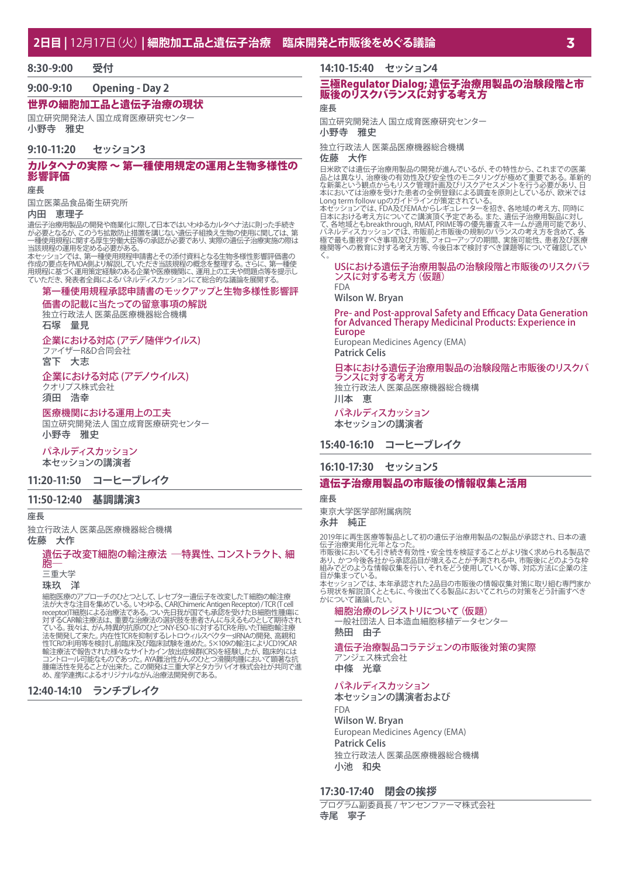**8:30-9:00 受付**

**9:00-9:10 Opening - Day 2**

### 世界の細胞加工品と遺伝子治療の現状

国立研究開発法人 国立成育医療研究センター 小野寺 雅史

#### **9:10-11:20 セッション3**

#### カルタヘナの実際 ~ 第一種使用規定の運用と生物多様性の 影響評価

#### 座長

国立医薬品食品衛生研究所

#### 内田 恵理子

遺伝子治療用製品の開発や商業化に際して日本ではいわゆるカルタヘナ法に則った手続き<br>が必要となるが、このうち拡散防止措置を講じない遺伝子組換え生物の使用に関しては、第<br>一種使用規程に関する厚生労働大臣等の承認が必要であり、実際の遺伝子治療実施の際は 当該規程の運用を定める必要がある。

本セッションでは、第一種使用規程申請書とその添付資料となる生物多様性影響評価書の 作成の要点をPMDA側より解説していただき当該規程の概念を整理する。さらに、第一種使 用規程に基づく運用策定経験のある企業や医療機関に、運用上の工夫や問題点等を提示し ていただき、発表者全員によるパネルディスカッションにて総合的な議論を展開する。

## 第一種使用規程承認申請書のモックアップと生物多様性影響評

価書の記載に当たっての留意事項の解説 独立行政法人 医薬品医療機器総合機構

石塚 量見

企業における対応 (アデノ随伴ウイルス)

ファイザーR&D合同会社 宮下 大志

#### 企業における対応 (アデノウイルス) クオリプス株式会社

須田 浩幸

#### 医療機関における運用上の工夫

国立研究開発法人 国立成育医療研究センター 小野寺 雅史

#### パネルディスカッション

本セッションの講演者

#### **11:20-11:50 コーヒーブレイク**

#### **11:50-12:40 基調講演3**

座長

#### 独立行政法人 医薬品医療機器総合機構 佐藤 大作

#### 遺伝子改変T細胞の輸注療法 ―特異性、コンストラクト、細 胞―

三重大学

珠玖 洋

細胞医療のアプローチのひとつとして、レセプター遺伝子を改変したT細胞の輸注療<br>法が大きな注目を集めている。いわゆる、CAR(Chimeric Antigen Receptor)/TGR (Teel<br>receptor)「細胞による治療法である。つい先日我が国でも承認を受けたB細胞性腫瘍に<br>対するCAR輸注療法は、重要な治療法の選択肢を患者さんに与えるものとして期待され<br>ている。我々は、がん特異性TGRを抑制力とコンY-ESO-1に対するク 輸注療法で報告された様々なサイトカイン放出症候群(CRS)を経験したが、臨床的には<br>コントロール可能なものであった。AYA難治性がんのひとつ滑膜肉腫において顕著な抗<br>腫瘍活性を見ることが出来た。この開発は三重大学とタカラバイオ株式会社が共同で進<br>め、産学連携によるオリジナルながん治療法開発例である。

**12:40-14:10 ランチブレイク**

### **14:10-15:40 セッション4**

#### 三極Regulator Dialog; 遺伝子治療用製品の治験段階と市 販後のリスクバランスに対する考え方

#### 座長

国立研究開発法人 国立成育医療研究センター 小野寺 雅史

独立行政法人 医薬品医療機器総合機構

#### 佐藤 大作

日米欧では遺伝子治療用製品の開発が進んでいるが、その特性から、これまでの医薬師をは、治療後の有効性及び安全性のモニタリングが極めて重要である。革新もない、設計日は、これには、これには、これには、これには、これにないでは治療を受けた患者の全例登録による調査を原則としているが、欧米では、これには治療を受けた患者の全例登録による調査を原則としているが、欧米ではいっという観点からもリスクが完定されている。<br>これにおいては治療を受けた患者の全例登

#### USにおける遺伝子治療用製品の治験段階と市販後のリスクバラ ンスに対する考え方(仮題) FDA

Wilson W. Bryan

#### Pre- and Post-approval Safety and Efficacy Data Generation for Advanced Therapy Medicinal Products: Experience in **Europe**

European Medicines Agency (EMA)

### Patrick Celis

#### 日本における遺伝子治療用製品の治験段階と市販後のリスクバ ランスに対する考え方

独立行政法人 医薬品医療機器総合機構

川本 恵 パネルディスカッション

本セッションの講演者

#### **15:40-16:10 コーヒーブレイク**

#### **16:10-17:30 セッション5**

### 遺伝子治療用製品の市販後の情報収集と活用

#### 座長

東京大学医学部附属病院

#### 永井 純正

2019年に再生医療等製品として初の遺伝子治療用製品の2製品が承認され、日本の遺

伝子治療実用化元年となった。<br>市販後においても引き続き有効性・安全性を検証することがより強く求められる製品で<br>あり、かつ今後名社から承認品目が増えることが予測される中、市販後にどのような枠<br>組みでどのような情報収集を行い、それをどう使用していくか等、対応方法に企業の注<br>目が集まっている。

本セッションでは、本年承認された2品目の市販後の情報収集対策に取り組む専門家か ら現状を解説頂くとともに、今後出てくる製品においてこれらの対策をどう計画すべき かについて議論したい

### 細胞治療のレジストリについて (仮題)

一般社団法人 日本造血細胞移植データセンター 熱田 由子

遺伝子治療製品コラテジェンの市販後対策の実際 アンジェス株式会社 中條 光章

#### パネルディスカッション

本セッションの講演者および FDA Wilson W. Bryan European Medicines Agency (EMA) Patrick Celis

独立行政法人 医薬品医療機器総合機構 小池 和央

#### **17:30-17:40 閉会の挨拶**

プログラム副委員長 / ヤンセンファーマ株式会社 寺尾 寧子